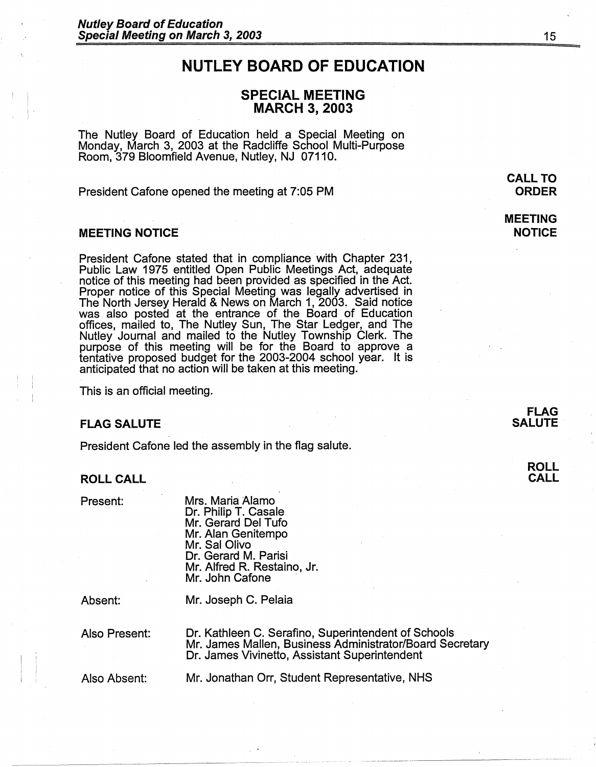# **NUTLEY BOARD OF EDUCATION**

# **SPECIAL MEETING MARCH 3, 2003**

The Nutley Board of Education held a Special Meeting on Monday, March 3, 2003 at the Radcliffe School Multi-Purpose Room, 379 Bloomfield Avenue, Nutley, NJ 07110.

President Cafone opened the meeting at 7:05 PM

#### **MEETING NOTICE**

President Cafone stated that in compliance with Chapter 231, Public Law 1975 entitled Open Public Meetings Act, adequate notice of this meeting had been provided as specified in the Act.<br>Proper notice of this Special Meeting was legally advertised in The North Jersey Herald & News on March 1, 2003. Said notice was also posted at the entrance of the Board of Education offices, mailed to, The Nutley Sun, The Star Ledger, and The Nutley Journal and mailed to the Nutley Township Clerk. The purpose of this meeting will be for the Board to approve a tentative proposed budget for the 2003-2004 school year. It is anticipated that no action will be taken at this meeting.

This is an official meeting.

#### **FLAG SALUTE**

President Cafone led the assembly in the flag salute.

#### **ROLL CALL**

Present:

Mrs. Maria Alamo Dr. Philip T. Casale Mr. Gerard Del Tufo Mr. Alan Genitempo Mr. Sal Olivo Dr. Gerard M. Parisi Mr. Alfred R. Restaino, Jr. Mr. John Cafone

Absent:

Mr. Joseph C. Pelaia

Also Present:

Dr. Kathleen C. Serafino, Superintendent of Schools Mr. James Mallen, Business Administrator/Board Secretary Dr. James Vivinetto, Assistant Superintendent

Also Absent:

Mr. Jonathan Orr, Student Representative, NHS

**CALL TO ORDER** 

**MEETING NOTICE** 

#### **ROLL CALL**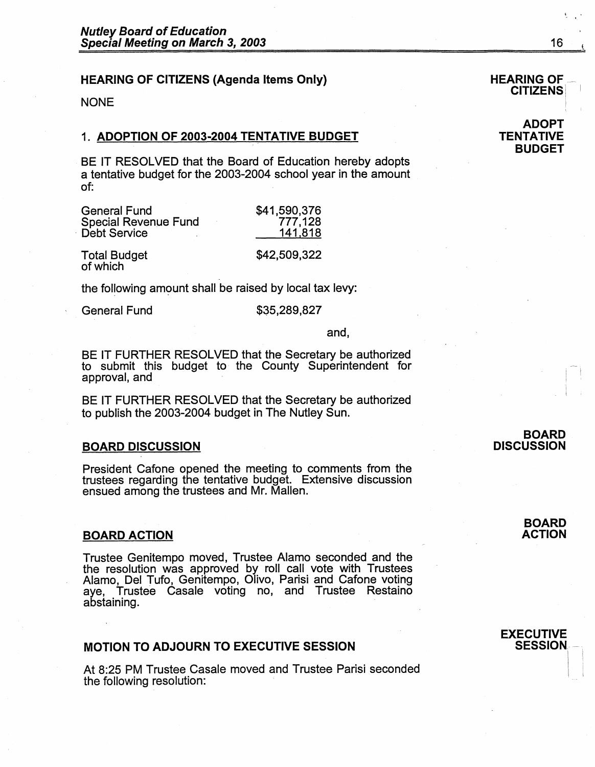# **HEARING OF CITIZENS (Agenda Items Only)**

**NONE** 

## 1. **ADOPTION OF 2003-2004 TENTATIVE BUDGET**

BE IT RESOLVED that the Board of Education hereby adopts a tentative budget for the 2003-2004 school year in the amount of:

| <b>General Fund</b>             | \$41,590,376 |
|---------------------------------|--------------|
| <b>Special Revenue Fund</b>     | 777,128      |
| <b>Debt Service</b>             | 141,818      |
| <b>Total Budget</b><br>of which | \$42,509,322 |

the following amount shall be raised by local tax levy:

General Fund \$35,289,827

and,

BE IT FURTHER RESOLVED that the Secretary be authorized to submit this budget to the County Superintendent for approval, and

BE IT FURTHER RESOLVED that the Secretary be authorized to publish the 2003-2004 budget in The Nutley Sun.

#### **BOARD DISCUSSION**

President Cafone opened the meeting to comments from the trustees regarding the tentative budget. Extensive discussion ensued among the trustees and Mr. Mallen.

#### **BOARD ACTION**

Trustee Genitempo moved, Trustee Alamo seconded and the the resolution was approved by roll call vote with Trustees Alamo, Del Tufo, Genitempo, Olivo, Parisi and Catone voting aye, Trustee Casale voting no, and Trustee Restaino abstaining.

### **MOTION TO ADJOURN TO EXECUTIVE SESSION**

At 8:25 PM Trustee Casale moved and Trustee Parisi seconded the following resolution:

#### **BOARD DISCUSSION**

# **HEARING OF<br>CITIZENS**

#### **ADOPT TENTATIVE BUDGET**

I i  $\mathbf{I}$